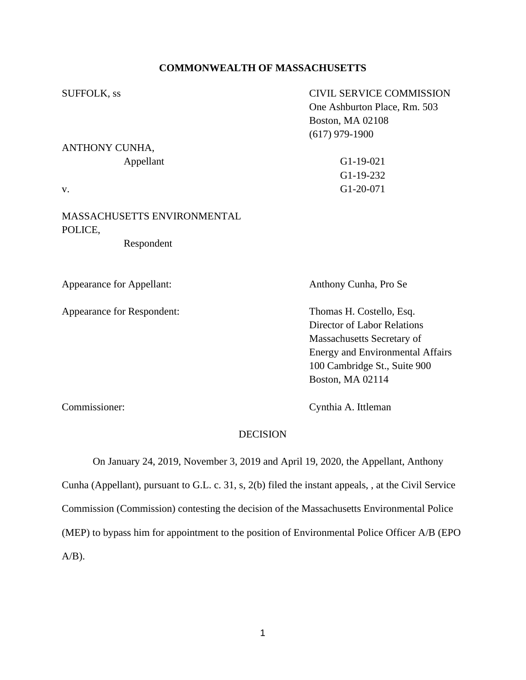# **COMMONWEALTH OF MASSACHUSETTS**

| <b>SUFFOLK</b> , ss                           | <b>CIVIL SERVICE COMMISSION</b> |
|-----------------------------------------------|---------------------------------|
|                                               | One Ashburton Place, Rm. 503    |
|                                               | <b>Boston, MA 02108</b>         |
|                                               | $(617)$ 979-1900                |
| ANTHONY CUNHA,                                |                                 |
| Appellant                                     | $G1-19-021$                     |
|                                               | $G1-19-232$                     |
| v.                                            | G1-20-071                       |
| <b>MASSACHUSETTS ENVIRONMENTAL</b><br>POLICE, |                                 |
| Respondent                                    |                                 |
|                                               |                                 |
| <b>Appearance for Appellant:</b>              | Anthony Cunha, Pro Se           |
|                                               |                                 |

Appearance for Respondent: Thomas H. Costello, Esq. Director of Labor Relations Massachusetts Secretary of Energy and Environmental Affairs 100 Cambridge St., Suite 900 Boston, MA 02114

Commissioner: Cynthia A. Ittleman

## DECISION

On January 24, 2019, November 3, 2019 and April 19, 2020, the Appellant, Anthony Cunha (Appellant), pursuant to G.L. c. 31, s, 2(b) filed the instant appeals, , at the Civil Service Commission (Commission) contesting the decision of the Massachusetts Environmental Police (MEP) to bypass him for appointment to the position of Environmental Police Officer A/B (EPO  $A/B$ ).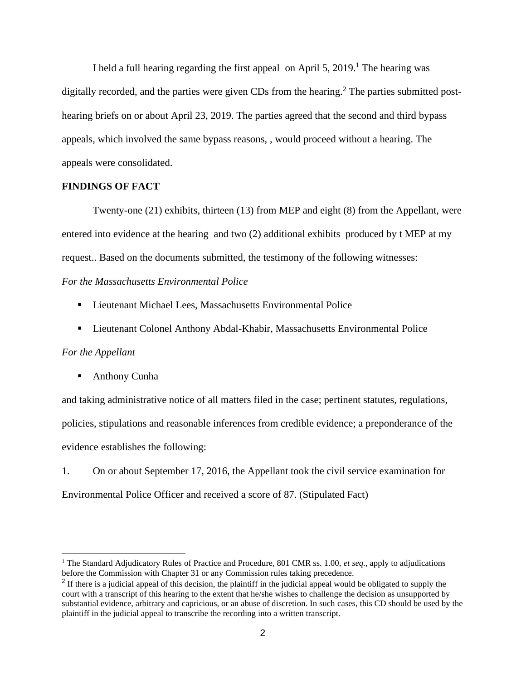I held a full hearing regarding the first appeal on April 5,  $2019<sup>1</sup>$ . The hearing was digitally recorded, and the parties were given CDs from the hearing.<sup>2</sup> The parties submitted posthearing briefs on or about April 23, 2019. The parties agreed that the second and third bypass appeals, which involved the same bypass reasons, , would proceed without a hearing. The appeals were consolidated.

### **FINDINGS OF FACT**

Twenty-one (21) exhibits, thirteen (13) from MEP and eight (8) from the Appellant, were entered into evidence at the hearing and two (2) additional exhibits produced by t MEP at my request.. Based on the documents submitted, the testimony of the following witnesses:

### *For the Massachusetts Environmental Police*

- Lieutenant Michael Lees, Massachusetts Environmental Police
- **Exercise 1** Lieutenant Colonel Anthony Abdal-Khabir, Massachusetts Environmental Police

#### *For the Appellant*

■ Anthony Cunha

and taking administrative notice of all matters filed in the case; pertinent statutes, regulations, policies, stipulations and reasonable inferences from credible evidence; a preponderance of the evidence establishes the following:

1. On or about September 17, 2016, the Appellant took the civil service examination for Environmental Police Officer and received a score of 87. (Stipulated Fact)

<sup>&</sup>lt;sup>1</sup> The Standard Adjudicatory Rules of Practice and Procedure, 801 CMR ss. 1.00, *et seq.*, apply to adjudications before the Commission with Chapter 31 or any Commission rules taking precedence.

 $2$  If there is a judicial appeal of this decision, the plaintiff in the judicial appeal would be obligated to supply the court with a transcript of this hearing to the extent that he/she wishes to challenge the decision as unsupported by substantial evidence, arbitrary and capricious, or an abuse of discretion. In such cases, this CD should be used by the plaintiff in the judicial appeal to transcribe the recording into a written transcript.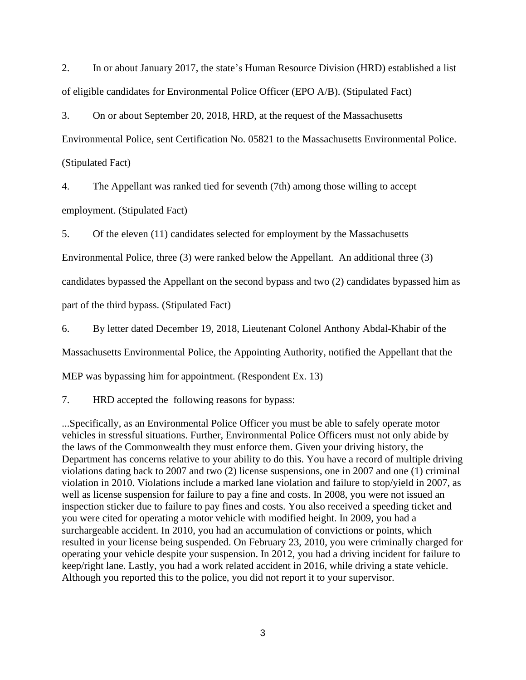2. In or about January 2017, the state's Human Resource Division (HRD) established a list of eligible candidates for Environmental Police Officer (EPO A/B). (Stipulated Fact)

3. On or about September 20, 2018, HRD, at the request of the Massachusetts Environmental Police, sent Certification No. 05821 to the Massachusetts Environmental Police. (Stipulated Fact)

4. The Appellant was ranked tied for seventh (7th) among those willing to accept employment. (Stipulated Fact)

5. Of the eleven (11) candidates selected for employment by the Massachusetts

Environmental Police, three (3) were ranked below the Appellant. An additional three (3)

candidates bypassed the Appellant on the second bypass and two (2) candidates bypassed him as

part of the third bypass. (Stipulated Fact)

6. By letter dated December 19, 2018, Lieutenant Colonel Anthony Abdal-Khabir of the

Massachusetts Environmental Police, the Appointing Authority, notified the Appellant that the

MEP was bypassing him for appointment. (Respondent Ex. 13)

7. HRD accepted the following reasons for bypass:

...Specifically, as an Environmental Police Officer you must be able to safely operate motor vehicles in stressful situations. Further, Environmental Police Officers must not only abide by the laws of the Commonwealth they must enforce them. Given your driving history, the Department has concerns relative to your ability to do this. You have a record of multiple driving violations dating back to 2007 and two (2) license suspensions, one in 2007 and one (1) criminal violation in 2010. Violations include a marked lane violation and failure to stop/yield in 2007, as well as license suspension for failure to pay a fine and costs. In 2008, you were not issued an inspection sticker due to failure to pay fines and costs. You also received a speeding ticket and you were cited for operating a motor vehicle with modified height. In 2009, you had a surchargeable accident. In 2010, you had an accumulation of convictions or points, which resulted in your license being suspended. On February 23, 2010, you were criminally charged for operating your vehicle despite your suspension. In 2012, you had a driving incident for failure to keep/right lane. Lastly, you had a work related accident in 2016, while driving a state vehicle. Although you reported this to the police, you did not report it to your supervisor.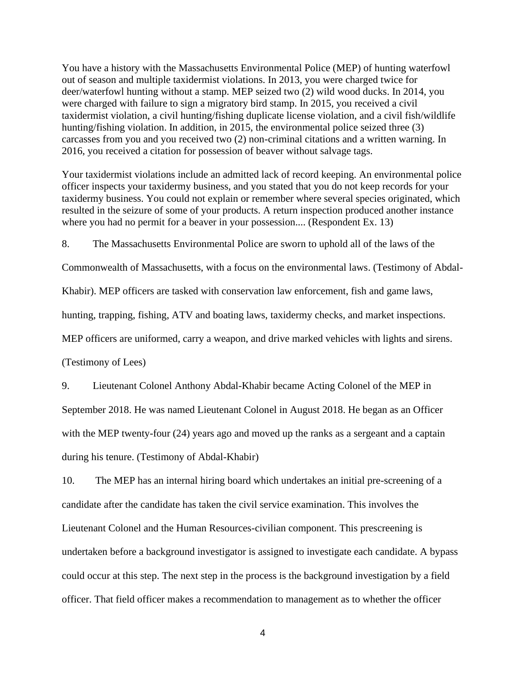You have a history with the Massachusetts Environmental Police (MEP) of hunting waterfowl out of season and multiple taxidermist violations. In 2013, you were charged twice for deer/waterfowl hunting without a stamp. MEP seized two (2) wild wood ducks. In 2014, you were charged with failure to sign a migratory bird stamp. In 2015, you received a civil taxidermist violation, a civil hunting/fishing duplicate license violation, and a civil fish/wildlife hunting/fishing violation. In addition, in 2015, the environmental police seized three (3) carcasses from you and you received two (2) non-criminal citations and a written warning. In 2016, you received a citation for possession of beaver without salvage tags.

Your taxidermist violations include an admitted lack of record keeping. An environmental police officer inspects your taxidermy business, and you stated that you do not keep records for your taxidermy business. You could not explain or remember where several species originated, which resulted in the seizure of some of your products. A return inspection produced another instance where you had no permit for a beaver in your possession.... (Respondent Ex. 13)

8. The Massachusetts Environmental Police are sworn to uphold all of the laws of the

Commonwealth of Massachusetts, with a focus on the environmental laws. (Testimony of Abdal-

Khabir). MEP officers are tasked with conservation law enforcement, fish and game laws,

hunting, trapping, fishing, ATV and boating laws, taxidermy checks, and market inspections.

MEP officers are uniformed, carry a weapon, and drive marked vehicles with lights and sirens.

(Testimony of Lees)

9. Lieutenant Colonel Anthony Abdal-Khabir became Acting Colonel of the MEP in September 2018. He was named Lieutenant Colonel in August 2018. He began as an Officer with the MEP twenty-four (24) years ago and moved up the ranks as a sergeant and a captain during his tenure. (Testimony of Abdal-Khabir)

10. The MEP has an internal hiring board which undertakes an initial pre-screening of a candidate after the candidate has taken the civil service examination. This involves the Lieutenant Colonel and the Human Resources-civilian component. This prescreening is undertaken before a background investigator is assigned to investigate each candidate. A bypass could occur at this step. The next step in the process is the background investigation by a field officer. That field officer makes a recommendation to management as to whether the officer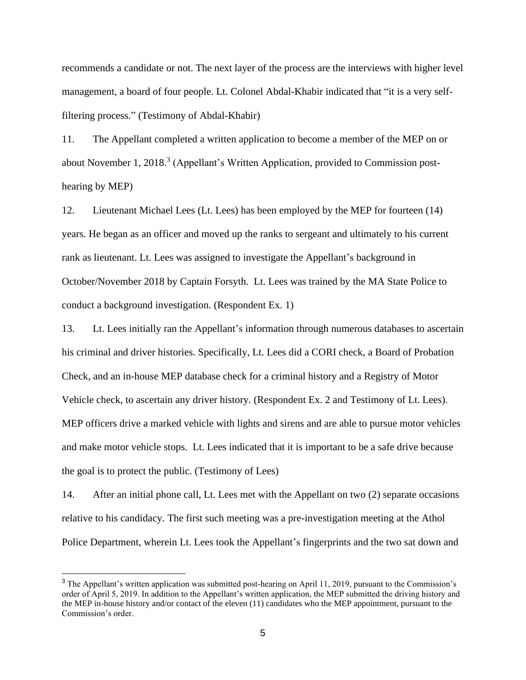recommends a candidate or not. The next layer of the process are the interviews with higher level management, a board of four people. Lt. Colonel Abdal-Khabir indicated that "it is a very selffiltering process." (Testimony of Abdal-Khabir)

11. The Appellant completed a written application to become a member of the MEP on or about November 1, 2018.<sup>3</sup> (Appellant's Written Application, provided to Commission posthearing by MEP)

12. Lieutenant Michael Lees (Lt. Lees) has been employed by the MEP for fourteen (14) years. He began as an officer and moved up the ranks to sergeant and ultimately to his current rank as lieutenant. Lt. Lees was assigned to investigate the Appellant's background in October/November 2018 by Captain Forsyth. Lt. Lees was trained by the MA State Police to conduct a background investigation. (Respondent Ex. 1)

13. Lt. Lees initially ran the Appellant's information through numerous databases to ascertain his criminal and driver histories. Specifically, Lt. Lees did a CORI check, a Board of Probation Check, and an in-house MEP database check for a criminal history and a Registry of Motor Vehicle check, to ascertain any driver history. (Respondent Ex. 2 and Testimony of Lt. Lees). MEP officers drive a marked vehicle with lights and sirens and are able to pursue motor vehicles and make motor vehicle stops. Lt. Lees indicated that it is important to be a safe drive because the goal is to protect the public. (Testimony of Lees)

14. After an initial phone call, Lt. Lees met with the Appellant on two (2) separate occasions relative to his candidacy. The first such meeting was a pre-investigation meeting at the Athol Police Department, wherein Lt. Lees took the Appellant's fingerprints and the two sat down and

<sup>&</sup>lt;sup>3</sup> The Appellant's written application was submitted post-hearing on April 11, 2019, pursuant to the Commission's order of April 5, 2019. In addition to the Appellant's written application, the MEP submitted the driving history and the MEP in-house history and/or contact of the eleven (11) candidates who the MEP appointment, pursuant to the Commission's order.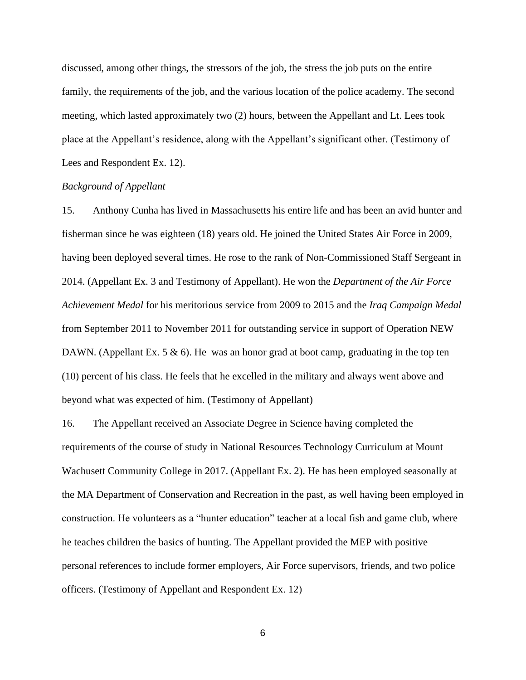discussed, among other things, the stressors of the job, the stress the job puts on the entire family, the requirements of the job, and the various location of the police academy. The second meeting, which lasted approximately two (2) hours, between the Appellant and Lt. Lees took place at the Appellant's residence, along with the Appellant's significant other. (Testimony of Lees and Respondent Ex. 12).

### *Background of Appellant*

15. Anthony Cunha has lived in Massachusetts his entire life and has been an avid hunter and fisherman since he was eighteen (18) years old. He joined the United States Air Force in 2009, having been deployed several times. He rose to the rank of Non-Commissioned Staff Sergeant in 2014. (Appellant Ex. 3 and Testimony of Appellant). He won the *Department of the Air Force Achievement Medal* for his meritorious service from 2009 to 2015 and the *Iraq Campaign Medal*  from September 2011 to November 2011 for outstanding service in support of Operation NEW DAWN. (Appellant Ex. 5  $\&$  6). He was an honor grad at boot camp, graduating in the top ten (10) percent of his class. He feels that he excelled in the military and always went above and beyond what was expected of him. (Testimony of Appellant)

16. The Appellant received an Associate Degree in Science having completed the requirements of the course of study in National Resources Technology Curriculum at Mount Wachusett Community College in 2017. (Appellant Ex. 2). He has been employed seasonally at the MA Department of Conservation and Recreation in the past, as well having been employed in construction. He volunteers as a "hunter education" teacher at a local fish and game club, where he teaches children the basics of hunting. The Appellant provided the MEP with positive personal references to include former employers, Air Force supervisors, friends, and two police officers. (Testimony of Appellant and Respondent Ex. 12)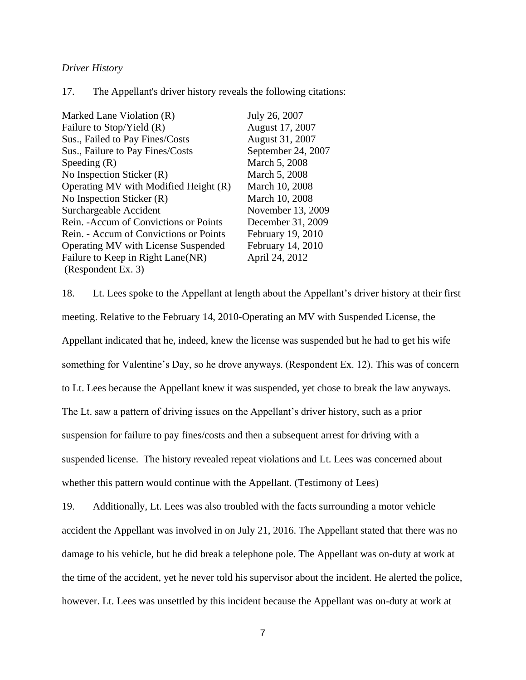### *Driver History*

17. The Appellant's driver history reveals the following citations:

| Marked Lane Violation (R)              | July 26, 2007      |
|----------------------------------------|--------------------|
| Failure to Stop/Yield (R)              | August 17, 2007    |
| Sus., Failed to Pay Fines/Costs        | August 31, 2007    |
| Sus., Failure to Pay Fines/Costs       | September 24, 2007 |
| Speeding $(R)$                         | March 5, 2008      |
| No Inspection Sticker (R)              | March 5, 2008      |
| Operating MV with Modified Height (R)  | March 10, 2008     |
| No Inspection Sticker (R)              | March 10, 2008     |
| Surchargeable Accident                 | November 13, 2009  |
| Rein. - Accum of Convictions or Points | December 31, 2009  |
| Rein. - Accum of Convictions or Points | February 19, 2010  |
| Operating MV with License Suspended    | February 14, 2010  |
| Failure to Keep in Right Lane(NR)      | April 24, 2012     |
| (Respondent Ex. 3)                     |                    |

18. Lt. Lees spoke to the Appellant at length about the Appellant's driver history at their first meeting. Relative to the February 14, 2010-Operating an MV with Suspended License, the Appellant indicated that he, indeed, knew the license was suspended but he had to get his wife something for Valentine's Day, so he drove anyways. (Respondent Ex. 12). This was of concern to Lt. Lees because the Appellant knew it was suspended, yet chose to break the law anyways. The Lt. saw a pattern of driving issues on the Appellant's driver history, such as a prior suspension for failure to pay fines/costs and then a subsequent arrest for driving with a suspended license. The history revealed repeat violations and Lt. Lees was concerned about whether this pattern would continue with the Appellant. (Testimony of Lees)

19. Additionally, Lt. Lees was also troubled with the facts surrounding a motor vehicle accident the Appellant was involved in on July 21, 2016. The Appellant stated that there was no damage to his vehicle, but he did break a telephone pole. The Appellant was on-duty at work at the time of the accident, yet he never told his supervisor about the incident. He alerted the police, however. Lt. Lees was unsettled by this incident because the Appellant was on-duty at work at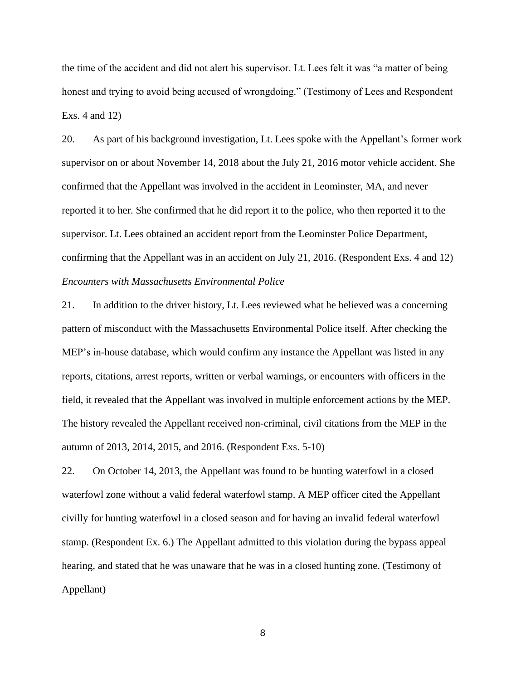the time of the accident and did not alert his supervisor. Lt. Lees felt it was "a matter of being honest and trying to avoid being accused of wrongdoing." (Testimony of Lees and Respondent Exs. 4 and 12)

20. As part of his background investigation, Lt. Lees spoke with the Appellant's former work supervisor on or about November 14, 2018 about the July 21, 2016 motor vehicle accident. She confirmed that the Appellant was involved in the accident in Leominster, MA, and never reported it to her. She confirmed that he did report it to the police, who then reported it to the supervisor. Lt. Lees obtained an accident report from the Leominster Police Department, confirming that the Appellant was in an accident on July 21, 2016. (Respondent Exs. 4 and 12) *Encounters with Massachusetts Environmental Police*

21. In addition to the driver history, Lt. Lees reviewed what he believed was a concerning pattern of misconduct with the Massachusetts Environmental Police itself. After checking the MEP's in-house database, which would confirm any instance the Appellant was listed in any reports, citations, arrest reports, written or verbal warnings, or encounters with officers in the field, it revealed that the Appellant was involved in multiple enforcement actions by the MEP. The history revealed the Appellant received non-criminal, civil citations from the MEP in the autumn of 2013, 2014, 2015, and 2016. (Respondent Exs. 5-10)

22. On October 14, 2013, the Appellant was found to be hunting waterfowl in a closed waterfowl zone without a valid federal waterfowl stamp. A MEP officer cited the Appellant civilly for hunting waterfowl in a closed season and for having an invalid federal waterfowl stamp. (Respondent Ex. 6.) The Appellant admitted to this violation during the bypass appeal hearing, and stated that he was unaware that he was in a closed hunting zone. (Testimony of Appellant)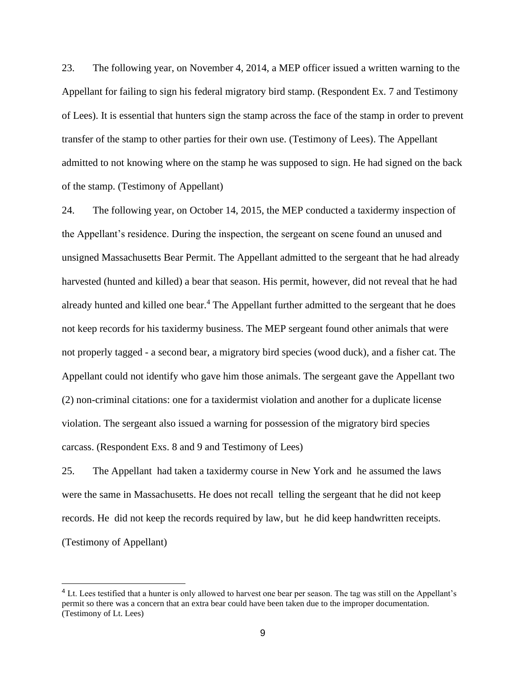23. The following year, on November 4, 2014, a MEP officer issued a written warning to the Appellant for failing to sign his federal migratory bird stamp. (Respondent Ex. 7 and Testimony of Lees). It is essential that hunters sign the stamp across the face of the stamp in order to prevent transfer of the stamp to other parties for their own use. (Testimony of Lees). The Appellant admitted to not knowing where on the stamp he was supposed to sign. He had signed on the back of the stamp. (Testimony of Appellant)

24. The following year, on October 14, 2015, the MEP conducted a taxidermy inspection of the Appellant's residence. During the inspection, the sergeant on scene found an unused and unsigned Massachusetts Bear Permit. The Appellant admitted to the sergeant that he had already harvested (hunted and killed) a bear that season. His permit, however, did not reveal that he had already hunted and killed one bear.<sup>4</sup> The Appellant further admitted to the sergeant that he does not keep records for his taxidermy business. The MEP sergeant found other animals that were not properly tagged - a second bear, a migratory bird species (wood duck), and a fisher cat. The Appellant could not identify who gave him those animals. The sergeant gave the Appellant two (2) non-criminal citations: one for a taxidermist violation and another for a duplicate license violation. The sergeant also issued a warning for possession of the migratory bird species carcass. (Respondent Exs. 8 and 9 and Testimony of Lees)

25. The Appellant had taken a taxidermy course in New York and he assumed the laws were the same in Massachusetts. He does not recall telling the sergeant that he did not keep records. He did not keep the records required by law, but he did keep handwritten receipts. (Testimony of Appellant)

<sup>&</sup>lt;sup>4</sup> Lt. Lees testified that a hunter is only allowed to harvest one bear per season. The tag was still on the Appellant's permit so there was a concern that an extra bear could have been taken due to the improper documentation. (Testimony of Lt. Lees)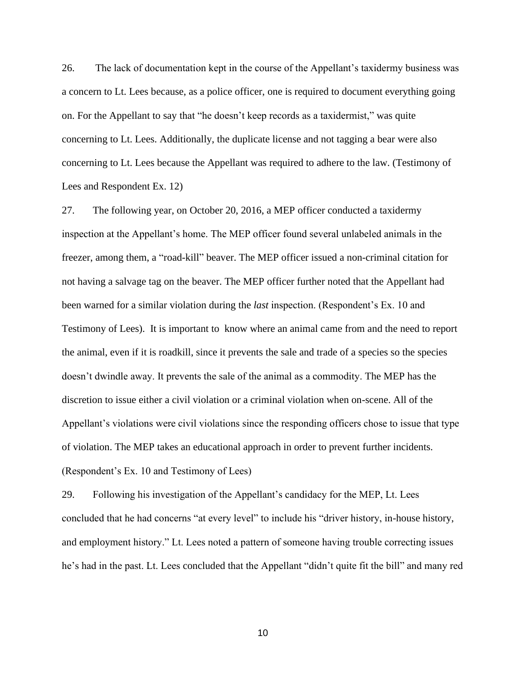26. The lack of documentation kept in the course of the Appellant's taxidermy business was a concern to Lt. Lees because, as a police officer, one is required to document everything going on. For the Appellant to say that "he doesn't keep records as a taxidermist," was quite concerning to Lt. Lees. Additionally, the duplicate license and not tagging a bear were also concerning to Lt. Lees because the Appellant was required to adhere to the law. (Testimony of Lees and Respondent Ex. 12)

27. The following year, on October 20, 2016, a MEP officer conducted a taxidermy inspection at the Appellant's home. The MEP officer found several unlabeled animals in the freezer, among them, a "road-kill" beaver. The MEP officer issued a non-criminal citation for not having a salvage tag on the beaver. The MEP officer further noted that the Appellant had been warned for a similar violation during the *last* inspection. (Respondent's Ex. 10 and Testimony of Lees). It is important to know where an animal came from and the need to report the animal, even if it is roadkill, since it prevents the sale and trade of a species so the species doesn't dwindle away. It prevents the sale of the animal as a commodity. The MEP has the discretion to issue either a civil violation or a criminal violation when on-scene. All of the Appellant's violations were civil violations since the responding officers chose to issue that type of violation. The MEP takes an educational approach in order to prevent further incidents. (Respondent's Ex. 10 and Testimony of Lees)

29. Following his investigation of the Appellant's candidacy for the MEP, Lt. Lees concluded that he had concerns "at every level" to include his "driver history, in-house history, and employment history." Lt. Lees noted a pattern of someone having trouble correcting issues he's had in the past. Lt. Lees concluded that the Appellant "didn't quite fit the bill" and many red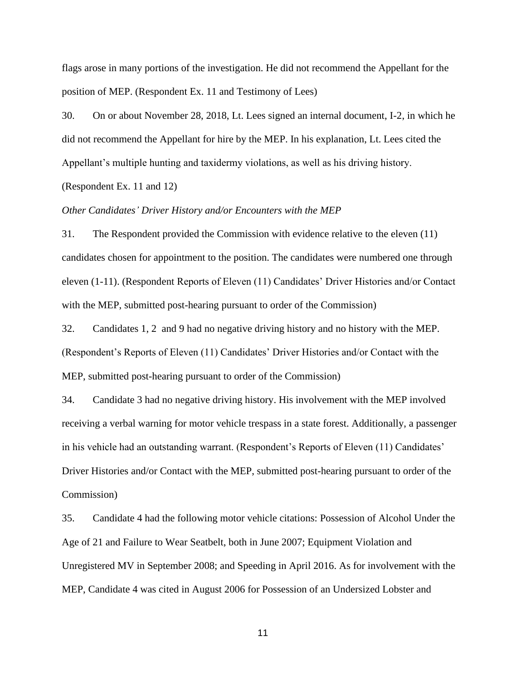flags arose in many portions of the investigation. He did not recommend the Appellant for the position of MEP. (Respondent Ex. 11 and Testimony of Lees)

30. On or about November 28, 2018, Lt. Lees signed an internal document, I-2, in which he did not recommend the Appellant for hire by the MEP. In his explanation, Lt. Lees cited the Appellant's multiple hunting and taxidermy violations, as well as his driving history.

(Respondent Ex. 11 and 12)

### *Other Candidates' Driver History and/or Encounters with the MEP*

31. The Respondent provided the Commission with evidence relative to the eleven (11) candidates chosen for appointment to the position. The candidates were numbered one through eleven (1-11). (Respondent Reports of Eleven (11) Candidates' Driver Histories and/or Contact with the MEP, submitted post-hearing pursuant to order of the Commission)

32. Candidates 1, 2 and 9 had no negative driving history and no history with the MEP. (Respondent's Reports of Eleven (11) Candidates' Driver Histories and/or Contact with the MEP, submitted post-hearing pursuant to order of the Commission)

34. Candidate 3 had no negative driving history. His involvement with the MEP involved receiving a verbal warning for motor vehicle trespass in a state forest. Additionally, a passenger in his vehicle had an outstanding warrant. (Respondent's Reports of Eleven (11) Candidates' Driver Histories and/or Contact with the MEP, submitted post-hearing pursuant to order of the Commission)

35. Candidate 4 had the following motor vehicle citations: Possession of Alcohol Under the Age of 21 and Failure to Wear Seatbelt, both in June 2007; Equipment Violation and Unregistered MV in September 2008; and Speeding in April 2016. As for involvement with the MEP, Candidate 4 was cited in August 2006 for Possession of an Undersized Lobster and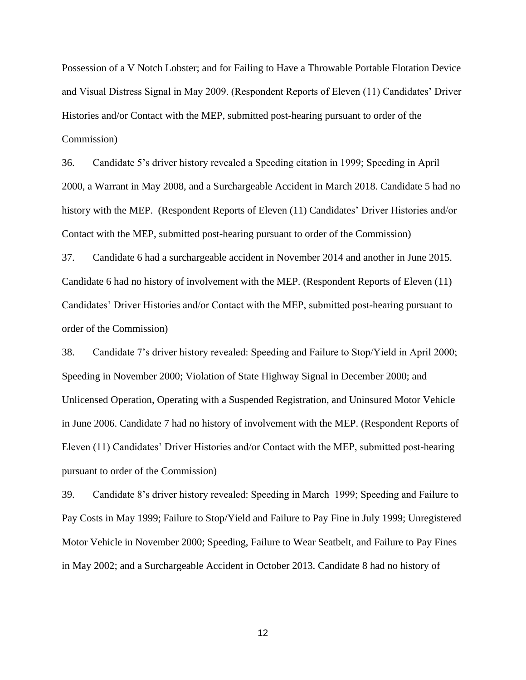Possession of a V Notch Lobster; and for Failing to Have a Throwable Portable Flotation Device and Visual Distress Signal in May 2009. (Respondent Reports of Eleven (11) Candidates' Driver Histories and/or Contact with the MEP, submitted post-hearing pursuant to order of the Commission)

36. Candidate 5's driver history revealed a Speeding citation in 1999; Speeding in April 2000, a Warrant in May 2008, and a Surchargeable Accident in March 2018. Candidate 5 had no history with the MEP. (Respondent Reports of Eleven (11) Candidates' Driver Histories and/or Contact with the MEP, submitted post-hearing pursuant to order of the Commission)

37. Candidate 6 had a surchargeable accident in November 2014 and another in June 2015. Candidate 6 had no history of involvement with the MEP. (Respondent Reports of Eleven (11) Candidates' Driver Histories and/or Contact with the MEP, submitted post-hearing pursuant to order of the Commission)

38. Candidate 7's driver history revealed: Speeding and Failure to Stop/Yield in April 2000; Speeding in November 2000; Violation of State Highway Signal in December 2000; and Unlicensed Operation, Operating with a Suspended Registration, and Uninsured Motor Vehicle in June 2006. Candidate 7 had no history of involvement with the MEP. (Respondent Reports of Eleven (11) Candidates' Driver Histories and/or Contact with the MEP, submitted post-hearing pursuant to order of the Commission)

39. Candidate 8's driver history revealed: Speeding in March 1999; Speeding and Failure to Pay Costs in May 1999; Failure to Stop/Yield and Failure to Pay Fine in July 1999; Unregistered Motor Vehicle in November 2000; Speeding, Failure to Wear Seatbelt, and Failure to Pay Fines in May 2002; and a Surchargeable Accident in October 2013. Candidate 8 had no history of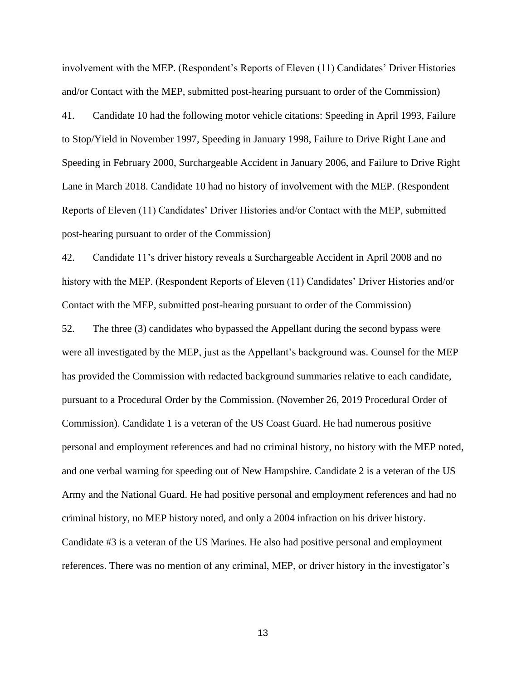involvement with the MEP. (Respondent's Reports of Eleven (11) Candidates' Driver Histories and/or Contact with the MEP, submitted post-hearing pursuant to order of the Commission)

41. Candidate 10 had the following motor vehicle citations: Speeding in April 1993, Failure to Stop/Yield in November 1997, Speeding in January 1998, Failure to Drive Right Lane and Speeding in February 2000, Surchargeable Accident in January 2006, and Failure to Drive Right Lane in March 2018. Candidate 10 had no history of involvement with the MEP. (Respondent Reports of Eleven (11) Candidates' Driver Histories and/or Contact with the MEP, submitted post-hearing pursuant to order of the Commission)

42. Candidate 11's driver history reveals a Surchargeable Accident in April 2008 and no history with the MEP. (Respondent Reports of Eleven (11) Candidates' Driver Histories and/or Contact with the MEP, submitted post-hearing pursuant to order of the Commission)

52. The three (3) candidates who bypassed the Appellant during the second bypass were were all investigated by the MEP, just as the Appellant's background was. Counsel for the MEP has provided the Commission with redacted background summaries relative to each candidate, pursuant to a Procedural Order by the Commission. (November 26, 2019 Procedural Order of Commission). Candidate 1 is a veteran of the US Coast Guard. He had numerous positive personal and employment references and had no criminal history, no history with the MEP noted, and one verbal warning for speeding out of New Hampshire. Candidate 2 is a veteran of the US Army and the National Guard. He had positive personal and employment references and had no criminal history, no MEP history noted, and only a 2004 infraction on his driver history. Candidate #3 is a veteran of the US Marines. He also had positive personal and employment references. There was no mention of any criminal, MEP, or driver history in the investigator's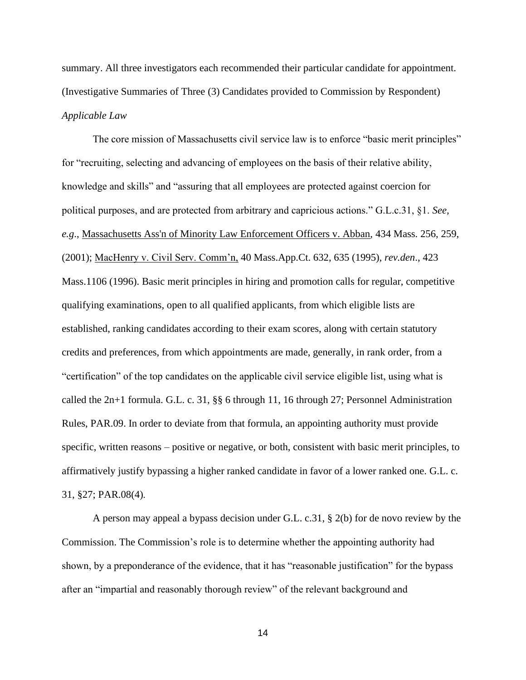summary. All three investigators each recommended their particular candidate for appointment. (Investigative Summaries of Three (3) Candidates provided to Commission by Respondent) *Applicable Law* 

The core mission of Massachusetts civil service law is to enforce "basic merit principles" for "recruiting, selecting and advancing of employees on the basis of their relative ability, knowledge and skills" and "assuring that all employees are protected against coercion for political purposes, and are protected from arbitrary and capricious actions." G.L.c.31, §1. *See, e.g*., Massachusetts Ass'n of Minority Law Enforcement Officers v. Abban, 434 Mass. 256, 259, (2001); MacHenry v. Civil Serv. Comm'n, 40 Mass.App.Ct. 632, 635 (1995), *rev.den*., 423 Mass.1106 (1996). Basic merit principles in hiring and promotion calls for regular, competitive qualifying examinations, open to all qualified applicants, from which eligible lists are established, ranking candidates according to their exam scores, along with certain statutory credits and preferences, from which appointments are made, generally, in rank order, from a "certification" of the top candidates on the applicable civil service eligible list, using what is called the 2n+1 formula. G.L. c. 31, §§ 6 through 11, 16 through 27; Personnel Administration Rules, PAR.09. In order to deviate from that formula, an appointing authority must provide specific, written reasons – positive or negative, or both, consistent with basic merit principles, to affirmatively justify bypassing a higher ranked candidate in favor of a lower ranked one. G.L. c. 31, §27; PAR.08(4).

A person may appeal a bypass decision under G.L. c.31, § 2(b) for de novo review by the Commission. The Commission's role is to determine whether the appointing authority had shown, by a preponderance of the evidence, that it has "reasonable justification" for the bypass after an "impartial and reasonably thorough review" of the relevant background and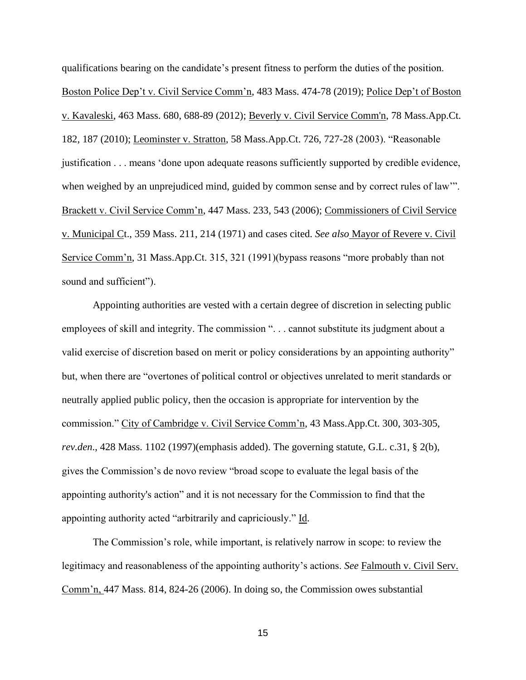qualifications bearing on the candidate's present fitness to perform the duties of the position. Boston Police Dep't v. Civil Service Comm'n, 483 Mass. 474-78 (2019); Police Dep't of Boston v. Kavaleski, 463 Mass. 680, 688-89 (2012); Beverly v. Civil Service Comm'n, 78 Mass.App.Ct. 182, 187 (2010); Leominster v. Stratton, 58 Mass.App.Ct. 726, 727-28 (2003). "Reasonable justification . . . means 'done upon adequate reasons sufficiently supported by credible evidence, when weighed by an unprejudiced mind, guided by common sense and by correct rules of law". Brackett v. Civil Service Comm'n, 447 Mass. 233, 543 (2006); Commissioners of Civil Service v. Municipal Ct., 359 Mass. 211, 214 (1971) and cases cited. *See also* Mayor of Revere v. Civil Service Comm'n, 31 Mass.App.Ct. 315, 321 (1991)(bypass reasons "more probably than not sound and sufficient").

Appointing authorities are vested with a certain degree of discretion in selecting public employees of skill and integrity. The commission ". . . cannot substitute its judgment about a valid exercise of discretion based on merit or policy considerations by an appointing authority" but, when there are "overtones of political control or objectives unrelated to merit standards or neutrally applied public policy, then the occasion is appropriate for intervention by the commission." City of Cambridge v. Civil Service Comm'n, 43 Mass.App.Ct. 300, 303-305, *rev.den*., 428 Mass. 1102 (1997)(emphasis added). The governing statute, G.L. c.31, § 2(b), gives the Commission's de novo review "broad scope to evaluate the legal basis of the appointing authority's action" and it is not necessary for the Commission to find that the appointing authority acted "arbitrarily and capriciously." Id.

The Commission's role, while important, is relatively narrow in scope: to review the legitimacy and reasonableness of the appointing authority's actions. *See* Falmouth v. Civil Serv. Comm'n, 447 Mass. 814, 824-26 (2006). In doing so, the Commission owes substantial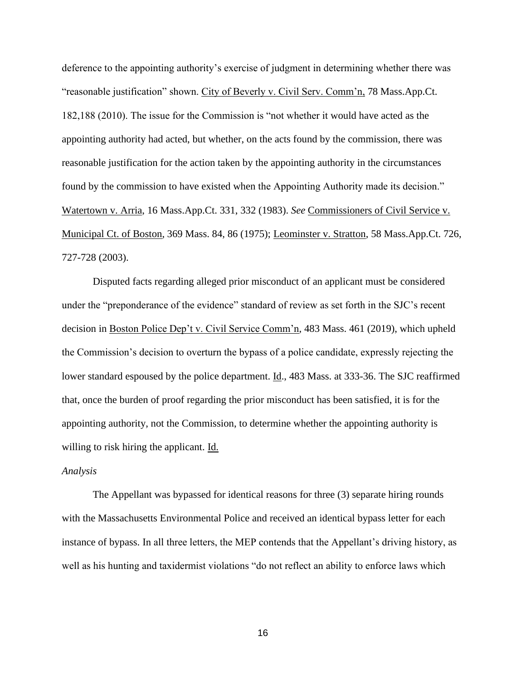deference to the appointing authority's exercise of judgment in determining whether there was "reasonable justification" shown. City of Beverly v. Civil Serv. Comm'n, 78 Mass.App.Ct. 182,188 (2010). The issue for the Commission is "not whether it would have acted as the appointing authority had acted, but whether, on the acts found by the commission, there was reasonable justification for the action taken by the appointing authority in the circumstances found by the commission to have existed when the Appointing Authority made its decision." Watertown v. Arria, 16 Mass.App.Ct. 331, 332 (1983). *See* Commissioners of Civil Service v. Municipal Ct. of Boston, 369 Mass. 84, 86 (1975); Leominster v. Stratton, 58 Mass.App.Ct. 726, 727-728 (2003).

Disputed facts regarding alleged prior misconduct of an applicant must be considered under the "preponderance of the evidence" standard of review as set forth in the SJC's recent decision in Boston Police Dep't v. Civil Service Comm'n, 483 Mass. 461 (2019), which upheld the Commission's decision to overturn the bypass of a police candidate, expressly rejecting the lower standard espoused by the police department. Id., 483 Mass. at 333-36. The SJC reaffirmed that, once the burden of proof regarding the prior misconduct has been satisfied, it is for the appointing authority, not the Commission, to determine whether the appointing authority is willing to risk hiring the applicant. Id.

#### *Analysis*

The Appellant was bypassed for identical reasons for three (3) separate hiring rounds with the Massachusetts Environmental Police and received an identical bypass letter for each instance of bypass. In all three letters, the MEP contends that the Appellant's driving history, as well as his hunting and taxidermist violations "do not reflect an ability to enforce laws which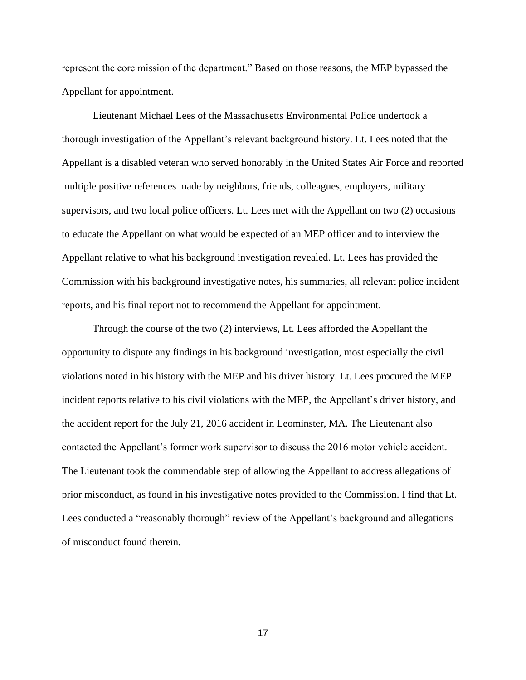represent the core mission of the department." Based on those reasons, the MEP bypassed the Appellant for appointment.

Lieutenant Michael Lees of the Massachusetts Environmental Police undertook a thorough investigation of the Appellant's relevant background history. Lt. Lees noted that the Appellant is a disabled veteran who served honorably in the United States Air Force and reported multiple positive references made by neighbors, friends, colleagues, employers, military supervisors, and two local police officers. Lt. Lees met with the Appellant on two (2) occasions to educate the Appellant on what would be expected of an MEP officer and to interview the Appellant relative to what his background investigation revealed. Lt. Lees has provided the Commission with his background investigative notes, his summaries, all relevant police incident reports, and his final report not to recommend the Appellant for appointment.

Through the course of the two (2) interviews, Lt. Lees afforded the Appellant the opportunity to dispute any findings in his background investigation, most especially the civil violations noted in his history with the MEP and his driver history. Lt. Lees procured the MEP incident reports relative to his civil violations with the MEP, the Appellant's driver history, and the accident report for the July 21, 2016 accident in Leominster, MA. The Lieutenant also contacted the Appellant's former work supervisor to discuss the 2016 motor vehicle accident. The Lieutenant took the commendable step of allowing the Appellant to address allegations of prior misconduct, as found in his investigative notes provided to the Commission. I find that Lt. Lees conducted a "reasonably thorough" review of the Appellant's background and allegations of misconduct found therein.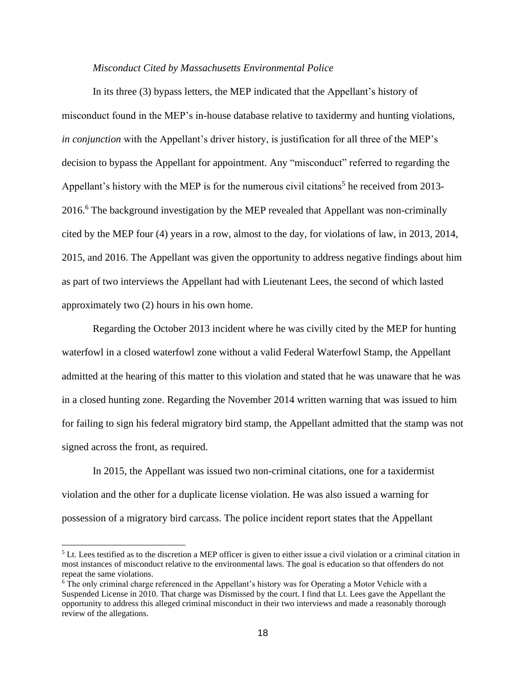#### *Misconduct Cited by Massachusetts Environmental Police*

In its three (3) bypass letters, the MEP indicated that the Appellant's history of misconduct found in the MEP's in-house database relative to taxidermy and hunting violations, *in conjunction* with the Appellant's driver history, is justification for all three of the MEP's decision to bypass the Appellant for appointment. Any "misconduct" referred to regarding the Appellant's history with the MEP is for the numerous civil citations<sup>5</sup> he received from 2013-2016.<sup>6</sup> The background investigation by the MEP revealed that Appellant was non-criminally cited by the MEP four (4) years in a row, almost to the day, for violations of law, in 2013, 2014, 2015, and 2016. The Appellant was given the opportunity to address negative findings about him as part of two interviews the Appellant had with Lieutenant Lees, the second of which lasted approximately two (2) hours in his own home.

Regarding the October 2013 incident where he was civilly cited by the MEP for hunting waterfowl in a closed waterfowl zone without a valid Federal Waterfowl Stamp, the Appellant admitted at the hearing of this matter to this violation and stated that he was unaware that he was in a closed hunting zone. Regarding the November 2014 written warning that was issued to him for failing to sign his federal migratory bird stamp, the Appellant admitted that the stamp was not signed across the front, as required.

In 2015, the Appellant was issued two non-criminal citations, one for a taxidermist violation and the other for a duplicate license violation. He was also issued a warning for possession of a migratory bird carcass. The police incident report states that the Appellant

 $<sup>5</sup>$  Lt. Lees testified as to the discretion a MEP officer is given to either issue a civil violation or a criminal citation in</sup> most instances of misconduct relative to the environmental laws. The goal is education so that offenders do not repeat the same violations.

<sup>6</sup> The only criminal charge referenced in the Appellant's history was for Operating a Motor Vehicle with a Suspended License in 2010. That charge was Dismissed by the court. I find that Lt. Lees gave the Appellant the opportunity to address this alleged criminal misconduct in their two interviews and made a reasonably thorough review of the allegations.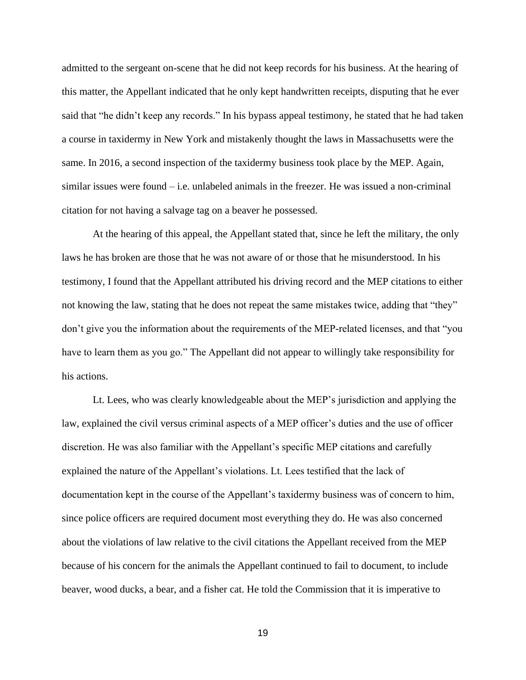admitted to the sergeant on-scene that he did not keep records for his business. At the hearing of this matter, the Appellant indicated that he only kept handwritten receipts, disputing that he ever said that "he didn't keep any records." In his bypass appeal testimony, he stated that he had taken a course in taxidermy in New York and mistakenly thought the laws in Massachusetts were the same. In 2016, a second inspection of the taxidermy business took place by the MEP. Again, similar issues were found – i.e. unlabeled animals in the freezer. He was issued a non-criminal citation for not having a salvage tag on a beaver he possessed.

At the hearing of this appeal, the Appellant stated that, since he left the military, the only laws he has broken are those that he was not aware of or those that he misunderstood. In his testimony, I found that the Appellant attributed his driving record and the MEP citations to either not knowing the law, stating that he does not repeat the same mistakes twice, adding that "they" don't give you the information about the requirements of the MEP-related licenses, and that "you have to learn them as you go." The Appellant did not appear to willingly take responsibility for his actions.

Lt. Lees, who was clearly knowledgeable about the MEP's jurisdiction and applying the law, explained the civil versus criminal aspects of a MEP officer's duties and the use of officer discretion. He was also familiar with the Appellant's specific MEP citations and carefully explained the nature of the Appellant's violations. Lt. Lees testified that the lack of documentation kept in the course of the Appellant's taxidermy business was of concern to him, since police officers are required document most everything they do. He was also concerned about the violations of law relative to the civil citations the Appellant received from the MEP because of his concern for the animals the Appellant continued to fail to document, to include beaver, wood ducks, a bear, and a fisher cat. He told the Commission that it is imperative to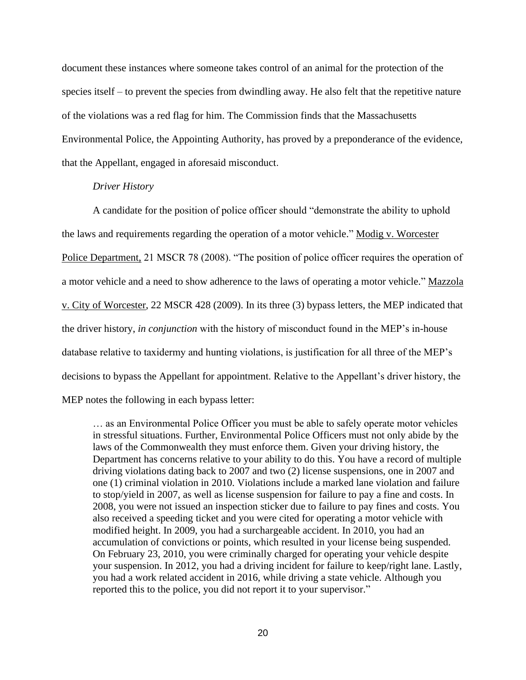document these instances where someone takes control of an animal for the protection of the species itself – to prevent the species from dwindling away. He also felt that the repetitive nature of the violations was a red flag for him. The Commission finds that the Massachusetts Environmental Police, the Appointing Authority, has proved by a preponderance of the evidence, that the Appellant, engaged in aforesaid misconduct.

### *Driver History*

A candidate for the position of police officer should "demonstrate the ability to uphold the laws and requirements regarding the operation of a motor vehicle." Modig v. Worcester Police Department, 21 MSCR 78 (2008). "The position of police officer requires the operation of a motor vehicle and a need to show adherence to the laws of operating a motor vehicle." Mazzola v. City of Worcester, 22 MSCR 428 (2009). In its three (3) bypass letters, the MEP indicated that the driver history, *in conjunction* with the history of misconduct found in the MEP's in-house database relative to taxidermy and hunting violations, is justification for all three of the MEP's decisions to bypass the Appellant for appointment. Relative to the Appellant's driver history, the MEP notes the following in each bypass letter:

… as an Environmental Police Officer you must be able to safely operate motor vehicles in stressful situations. Further, Environmental Police Officers must not only abide by the laws of the Commonwealth they must enforce them. Given your driving history, the Department has concerns relative to your ability to do this. You have a record of multiple driving violations dating back to 2007 and two (2) license suspensions, one in 2007 and one (1) criminal violation in 2010. Violations include a marked lane violation and failure to stop/yield in 2007, as well as license suspension for failure to pay a fine and costs. In 2008, you were not issued an inspection sticker due to failure to pay fines and costs. You also received a speeding ticket and you were cited for operating a motor vehicle with modified height. In 2009, you had a surchargeable accident. In 2010, you had an accumulation of convictions or points, which resulted in your license being suspended. On February 23, 2010, you were criminally charged for operating your vehicle despite your suspension. In 2012, you had a driving incident for failure to keep/right lane. Lastly, you had a work related accident in 2016, while driving a state vehicle. Although you reported this to the police, you did not report it to your supervisor."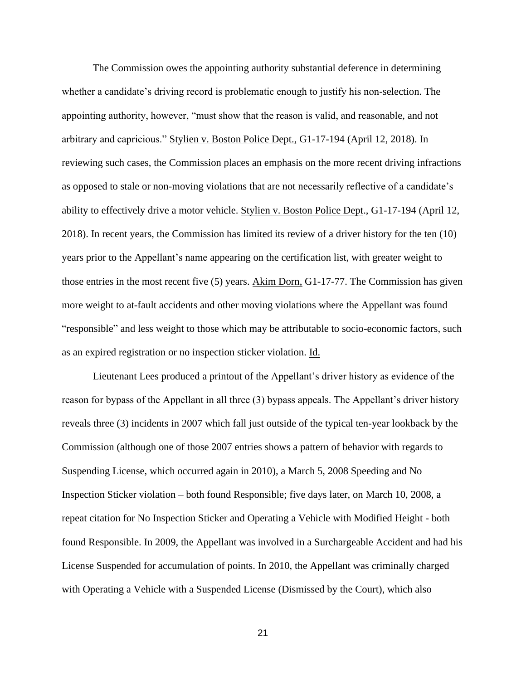The Commission owes the appointing authority substantial deference in determining whether a candidate's driving record is problematic enough to justify his non-selection. The appointing authority, however, "must show that the reason is valid, and reasonable, and not arbitrary and capricious." Stylien v. Boston Police Dept., G1-17-194 (April 12, 2018). In reviewing such cases, the Commission places an emphasis on the more recent driving infractions as opposed to stale or non-moving violations that are not necessarily reflective of a candidate's ability to effectively drive a motor vehicle. Stylien v. Boston Police Dept., G1-17-194 (April 12, 2018). In recent years, the Commission has limited its review of a driver history for the ten (10) years prior to the Appellant's name appearing on the certification list, with greater weight to those entries in the most recent five (5) years. Akim Dorn, G1-17-77. The Commission has given more weight to at-fault accidents and other moving violations where the Appellant was found "responsible" and less weight to those which may be attributable to socio-economic factors, such as an expired registration or no inspection sticker violation. Id.

Lieutenant Lees produced a printout of the Appellant's driver history as evidence of the reason for bypass of the Appellant in all three (3) bypass appeals. The Appellant's driver history reveals three (3) incidents in 2007 which fall just outside of the typical ten-year lookback by the Commission (although one of those 2007 entries shows a pattern of behavior with regards to Suspending License, which occurred again in 2010), a March 5, 2008 Speeding and No Inspection Sticker violation – both found Responsible; five days later, on March 10, 2008, a repeat citation for No Inspection Sticker and Operating a Vehicle with Modified Height - both found Responsible. In 2009, the Appellant was involved in a Surchargeable Accident and had his License Suspended for accumulation of points. In 2010, the Appellant was criminally charged with Operating a Vehicle with a Suspended License (Dismissed by the Court), which also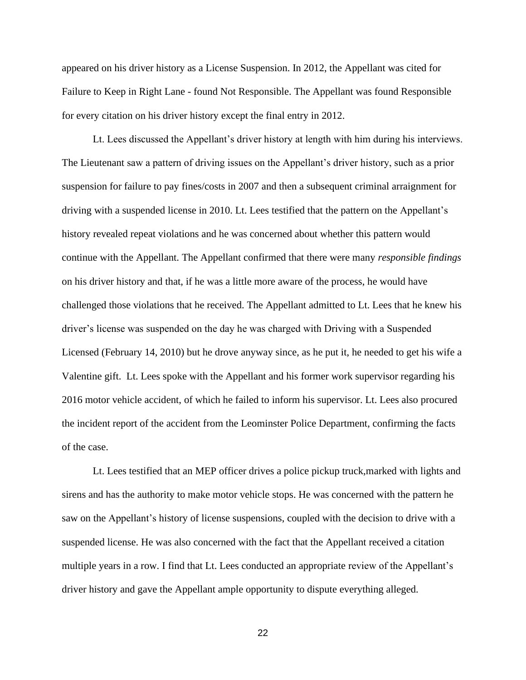appeared on his driver history as a License Suspension. In 2012, the Appellant was cited for Failure to Keep in Right Lane - found Not Responsible. The Appellant was found Responsible for every citation on his driver history except the final entry in 2012.

Lt. Lees discussed the Appellant's driver history at length with him during his interviews. The Lieutenant saw a pattern of driving issues on the Appellant's driver history, such as a prior suspension for failure to pay fines/costs in 2007 and then a subsequent criminal arraignment for driving with a suspended license in 2010. Lt. Lees testified that the pattern on the Appellant's history revealed repeat violations and he was concerned about whether this pattern would continue with the Appellant. The Appellant confirmed that there were many *responsible findings* on his driver history and that, if he was a little more aware of the process, he would have challenged those violations that he received. The Appellant admitted to Lt. Lees that he knew his driver's license was suspended on the day he was charged with Driving with a Suspended Licensed (February 14, 2010) but he drove anyway since, as he put it, he needed to get his wife a Valentine gift. Lt. Lees spoke with the Appellant and his former work supervisor regarding his 2016 motor vehicle accident, of which he failed to inform his supervisor. Lt. Lees also procured the incident report of the accident from the Leominster Police Department, confirming the facts of the case.

Lt. Lees testified that an MEP officer drives a police pickup truck,marked with lights and sirens and has the authority to make motor vehicle stops. He was concerned with the pattern he saw on the Appellant's history of license suspensions, coupled with the decision to drive with a suspended license. He was also concerned with the fact that the Appellant received a citation multiple years in a row. I find that Lt. Lees conducted an appropriate review of the Appellant's driver history and gave the Appellant ample opportunity to dispute everything alleged.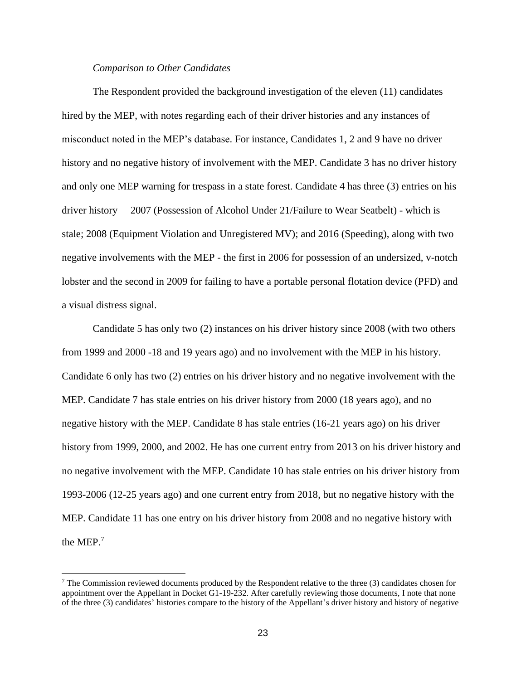#### *Comparison to Other Candidates*

The Respondent provided the background investigation of the eleven (11) candidates hired by the MEP, with notes regarding each of their driver histories and any instances of misconduct noted in the MEP's database. For instance, Candidates 1, 2 and 9 have no driver history and no negative history of involvement with the MEP. Candidate 3 has no driver history and only one MEP warning for trespass in a state forest. Candidate 4 has three (3) entries on his driver history – 2007 (Possession of Alcohol Under 21/Failure to Wear Seatbelt) - which is stale; 2008 (Equipment Violation and Unregistered MV); and 2016 (Speeding), along with two negative involvements with the MEP - the first in 2006 for possession of an undersized, v-notch lobster and the second in 2009 for failing to have a portable personal flotation device (PFD) and a visual distress signal.

Candidate 5 has only two (2) instances on his driver history since 2008 (with two others from 1999 and 2000 -18 and 19 years ago) and no involvement with the MEP in his history. Candidate 6 only has two (2) entries on his driver history and no negative involvement with the MEP. Candidate 7 has stale entries on his driver history from 2000 (18 years ago), and no negative history with the MEP. Candidate 8 has stale entries (16-21 years ago) on his driver history from 1999, 2000, and 2002. He has one current entry from 2013 on his driver history and no negative involvement with the MEP. Candidate 10 has stale entries on his driver history from 1993-2006 (12-25 years ago) and one current entry from 2018, but no negative history with the MEP. Candidate 11 has one entry on his driver history from 2008 and no negative history with the MEP.<sup>7</sup>

<sup>7</sup> The Commission reviewed documents produced by the Respondent relative to the three (3) candidates chosen for appointment over the Appellant in Docket G1-19-232. After carefully reviewing those documents, I note that none of the three (3) candidates' histories compare to the history of the Appellant's driver history and history of negative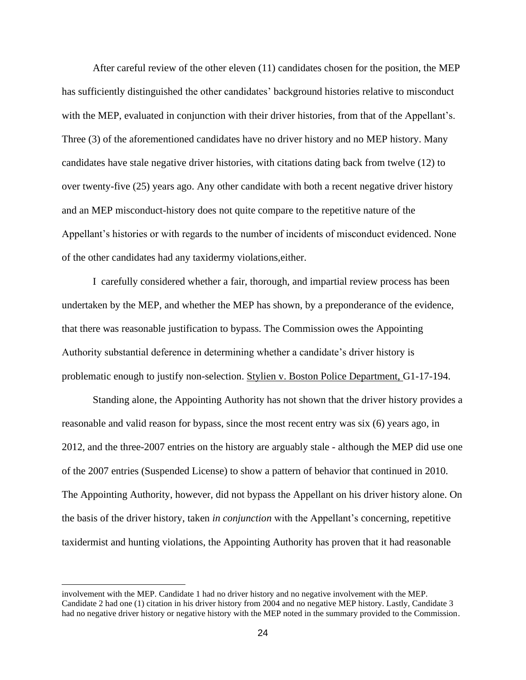After careful review of the other eleven (11) candidates chosen for the position, the MEP has sufficiently distinguished the other candidates' background histories relative to misconduct with the MEP, evaluated in conjunction with their driver histories, from that of the Appellant's. Three (3) of the aforementioned candidates have no driver history and no MEP history. Many candidates have stale negative driver histories, with citations dating back from twelve (12) to over twenty-five (25) years ago. Any other candidate with both a recent negative driver history and an MEP misconduct-history does not quite compare to the repetitive nature of the Appellant's histories or with regards to the number of incidents of misconduct evidenced. None of the other candidates had any taxidermy violations,either.

I carefully considered whether a fair, thorough, and impartial review process has been undertaken by the MEP, and whether the MEP has shown, by a preponderance of the evidence, that there was reasonable justification to bypass. The Commission owes the Appointing Authority substantial deference in determining whether a candidate's driver history is problematic enough to justify non-selection. Stylien v. Boston Police Department, G1-17-194.

Standing alone, the Appointing Authority has not shown that the driver history provides a reasonable and valid reason for bypass, since the most recent entry was six (6) years ago, in 2012, and the three-2007 entries on the history are arguably stale - although the MEP did use one of the 2007 entries (Suspended License) to show a pattern of behavior that continued in 2010. The Appointing Authority, however, did not bypass the Appellant on his driver history alone. On the basis of the driver history, taken *in conjunction* with the Appellant's concerning, repetitive taxidermist and hunting violations, the Appointing Authority has proven that it had reasonable

involvement with the MEP. Candidate 1 had no driver history and no negative involvement with the MEP. Candidate 2 had one (1) citation in his driver history from 2004 and no negative MEP history. Lastly, Candidate 3 had no negative driver history or negative history with the MEP noted in the summary provided to the Commission.